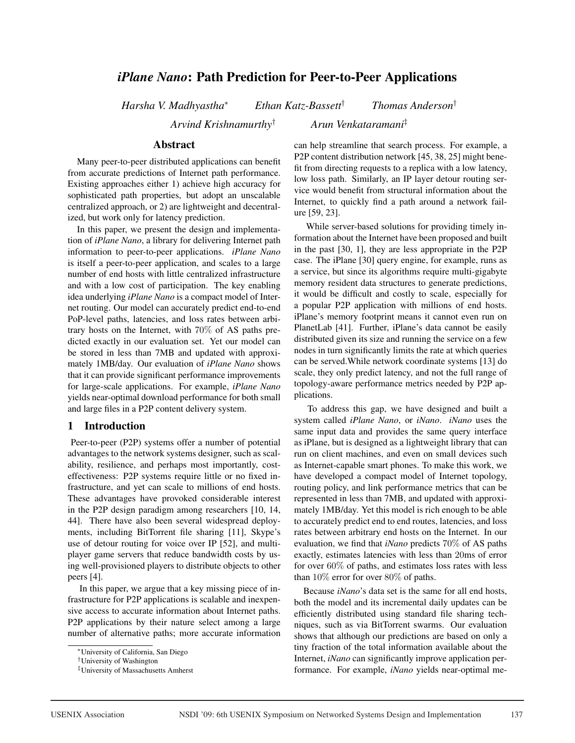# *iPlane Nano*: Path Prediction for Peer-to-Peer Applications

*Harsha V. Madhyastha*<sup>∗</sup> *Ethan Katz-Bassett*† *Thomas Anderson*†

*Arvind Krishnamurthy*† *Arun Venkataramani*‡

## Abstract

Many peer-to-peer distributed applications can benefit from accurate predictions of Internet path performance. Existing approaches either 1) achieve high accuracy for sophisticated path properties, but adopt an unscalable centralized approach, or 2) are lightweight and decentralized, but work only for latency prediction.

In this paper, we present the design and implementation of *iPlane Nano*, a library for delivering Internet path information to peer-to-peer applications. *iPlane Nano* is itself a peer-to-peer application, and scales to a large number of end hosts with little centralized infrastructure and with a low cost of participation. The key enabling idea underlying *iPlane Nano* is a compact model of Internet routing. Our model can accurately predict end-to-end PoP-level paths, latencies, and loss rates between arbitrary hosts on the Internet, with 70% of AS paths predicted exactly in our evaluation set. Yet our model can be stored in less than 7MB and updated with approximately 1MB/day. Our evaluation of *iPlane Nano* shows that it can provide significant performance improvements for large-scale applications. For example, *iPlane Nano* yields near-optimal download performance for both small and large files in a P2P content delivery system.

### 1 Introduction

Peer-to-peer (P2P) systems offer a number of potential advantages to the network systems designer, such as scalability, resilience, and perhaps most importantly, costeffectiveness: P2P systems require little or no fixed infrastructure, and yet can scale to millions of end hosts. These advantages have provoked considerable interest in the P2P design paradigm among researchers [10, 14, 44]. There have also been several widespread deployments, including BitTorrent file sharing [11], Skype's use of detour routing for voice over IP [52], and multiplayer game servers that reduce bandwidth costs by using well-provisioned players to distribute objects to other peers [4].

In this paper, we argue that a key missing piece of infrastructure for P2P applications is scalable and inexpensive access to accurate information about Internet paths. P2P applications by their nature select among a large number of alternative paths; more accurate information can help streamline that search process. For example, a P2P content distribution network [45, 38, 25] might benefit from directing requests to a replica with a low latency, low loss path. Similarly, an IP layer detour routing service would benefit from structural information about the Internet, to quickly find a path around a network failure [59, 23].

While server-based solutions for providing timely information about the Internet have been proposed and built in the past [30, 1], they are less appropriate in the P2P case. The iPlane [30] query engine, for example, runs as a service, but since its algorithms require multi-gigabyte memory resident data structures to generate predictions, it would be difficult and costly to scale, especially for a popular P2P application with millions of end hosts. iPlane's memory footprint means it cannot even run on PlanetLab [41]. Further, iPlane's data cannot be easily distributed given its size and running the service on a few nodes in turn significantly limits the rate at which queries can be served.While network coordinate systems [13] do scale, they only predict latency, and not the full range of topology-aware performance metrics needed by P2P applications.

To address this gap, we have designed and built a system called *iPlane Nano*, or *iNano*. *iNano* uses the same input data and provides the same query interface as iPlane, but is designed as a lightweight library that can run on client machines, and even on small devices such as Internet-capable smart phones. To make this work, we have developed a compact model of Internet topology, routing policy, and link performance metrics that can be represented in less than 7MB, and updated with approximately 1MB/day. Yet this model is rich enough to be able to accurately predict end to end routes, latencies, and loss rates between arbitrary end hosts on the Internet. In our evaluation, we find that *iNano* predicts 70% of AS paths exactly, estimates latencies with less than 20ms of error for over 60% of paths, and estimates loss rates with less than 10% error for over 80% of paths.

Because *iNano*'s data set is the same for all end hosts, both the model and its incremental daily updates can be efficiently distributed using standard file sharing techniques, such as via BitTorrent swarms. Our evaluation shows that although our predictions are based on only a tiny fraction of the total information available about the Internet, *iNano* can significantly improve application performance. For example, *iNano* yields near-optimal me-

<sup>∗</sup>University of California, San Diego

<sup>†</sup>University of Washington

<sup>‡</sup>University of Massachusetts Amherst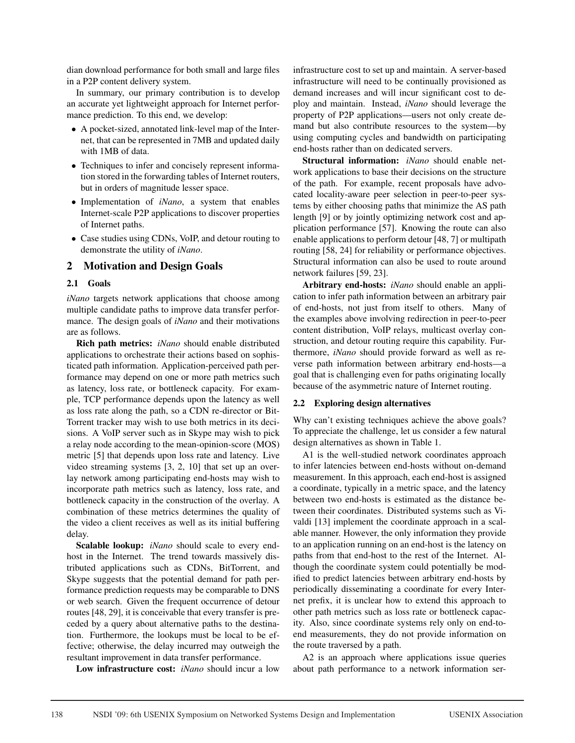dian download performance for both small and large files in a P2P content delivery system.

In summary, our primary contribution is to develop an accurate yet lightweight approach for Internet performance prediction. To this end, we develop:

- A pocket-sized, annotated link-level map of the Internet, that can be represented in 7MB and updated daily with 1MB of data.
- Techniques to infer and concisely represent information stored in the forwarding tables of Internet routers, but in orders of magnitude lesser space.
- Implementation of *iNano*, a system that enables Internet-scale P2P applications to discover properties of Internet paths.
- Case studies using CDNs, VoIP, and detour routing to demonstrate the utility of *iNano*.

## 2 Motivation and Design Goals

### 2.1 Goals

*iNano* targets network applications that choose among multiple candidate paths to improve data transfer performance. The design goals of *iNano* and their motivations are as follows.

Rich path metrics: *iNano* should enable distributed applications to orchestrate their actions based on sophisticated path information. Application-perceived path performance may depend on one or more path metrics such as latency, loss rate, or bottleneck capacity. For example, TCP performance depends upon the latency as well as loss rate along the path, so a CDN re-director or Bit-Torrent tracker may wish to use both metrics in its decisions. A VoIP server such as in Skype may wish to pick a relay node according to the mean-opinion-score (MOS) metric [5] that depends upon loss rate and latency. Live video streaming systems [3, 2, 10] that set up an overlay network among participating end-hosts may wish to incorporate path metrics such as latency, loss rate, and bottleneck capacity in the construction of the overlay. A combination of these metrics determines the quality of the video a client receives as well as its initial buffering delay.

Scalable lookup: *iNano* should scale to every endhost in the Internet. The trend towards massively distributed applications such as CDNs, BitTorrent, and Skype suggests that the potential demand for path performance prediction requests may be comparable to DNS or web search. Given the frequent occurrence of detour routes [48, 29], it is conceivable that every transfer is preceded by a query about alternative paths to the destination. Furthermore, the lookups must be local to be effective; otherwise, the delay incurred may outweigh the resultant improvement in data transfer performance.

Low infrastructure cost: *iNano* should incur a low

infrastructure cost to set up and maintain. A server-based infrastructure will need to be continually provisioned as demand increases and will incur significant cost to deploy and maintain. Instead, *iNano* should leverage the property of P2P applications—users not only create demand but also contribute resources to the system—by using computing cycles and bandwidth on participating end-hosts rather than on dedicated servers.

Structural information: *iNano* should enable network applications to base their decisions on the structure of the path. For example, recent proposals have advocated locality-aware peer selection in peer-to-peer systems by either choosing paths that minimize the AS path length [9] or by jointly optimizing network cost and application performance [57]. Knowing the route can also enable applications to perform detour [48, 7] or multipath routing [58, 24] for reliability or performance objectives. Structural information can also be used to route around network failures [59, 23].

Arbitrary end-hosts: *iNano* should enable an application to infer path information between an arbitrary pair of end-hosts, not just from itself to others. Many of the examples above involving redirection in peer-to-peer content distribution, VoIP relays, multicast overlay construction, and detour routing require this capability. Furthermore, *iNano* should provide forward as well as reverse path information between arbitrary end-hosts—a goal that is challenging even for paths originating locally because of the asymmetric nature of Internet routing.

#### 2.2 Exploring design alternatives

Why can't existing techniques achieve the above goals? To appreciate the challenge, let us consider a few natural design alternatives as shown in Table 1.

A1 is the well-studied network coordinates approach to infer latencies between end-hosts without on-demand measurement. In this approach, each end-host is assigned a coordinate, typically in a metric space, and the latency between two end-hosts is estimated as the distance between their coordinates. Distributed systems such as Vivaldi [13] implement the coordinate approach in a scalable manner. However, the only information they provide to an application running on an end-host is the latency on paths from that end-host to the rest of the Internet. Although the coordinate system could potentially be modified to predict latencies between arbitrary end-hosts by periodically disseminating a coordinate for every Internet prefix, it is unclear how to extend this approach to other path metrics such as loss rate or bottleneck capacity. Also, since coordinate systems rely only on end-toend measurements, they do not provide information on the route traversed by a path.

A2 is an approach where applications issue queries about path performance to a network information ser-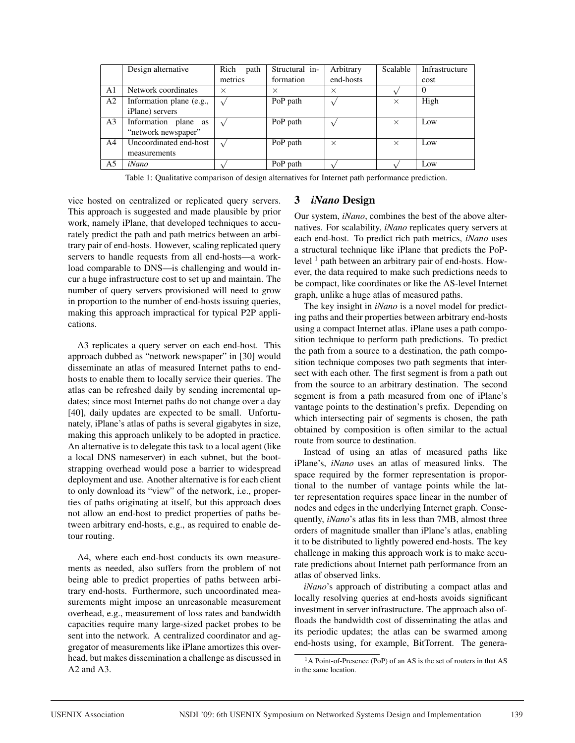|                | Design alternative       | Rich<br>path | Structural in- | Arbitrary | Scalable | Infrastructure |
|----------------|--------------------------|--------------|----------------|-----------|----------|----------------|
|                |                          | metrics      | formation      | end-hosts |          | cost           |
| A1             | Network coordinates      | $\times$     | $\times$       | $\times$  |          | $\theta$       |
| A <sub>2</sub> | Information plane (e.g., |              | PoP path       |           | $\times$ | High           |
|                | <i>iPlane</i> ) servers  |              |                |           |          |                |
| A3             | Information plane as     |              | PoP path       |           | $\times$ | Low            |
|                | "network newspaper"      |              |                |           |          |                |
| A4             | Uncoordinated end-host   |              | PoP path       | $\times$  | $\times$ | Low            |
|                | measurements             |              |                |           |          |                |
| A5             | iNano                    |              | PoP path       |           |          | Low            |

Table 1: Qualitative comparison of design alternatives for Internet path performance prediction.

vice hosted on centralized or replicated query servers. This approach is suggested and made plausible by prior work, namely iPlane, that developed techniques to accurately predict the path and path metrics between an arbitrary pair of end-hosts. However, scaling replicated query servers to handle requests from all end-hosts—a workload comparable to DNS—is challenging and would incur a huge infrastructure cost to set up and maintain. The number of query servers provisioned will need to grow in proportion to the number of end-hosts issuing queries, making this approach impractical for typical P2P applications.

A3 replicates a query server on each end-host. This approach dubbed as "network newspaper" in [30] would disseminate an atlas of measured Internet paths to endhosts to enable them to locally service their queries. The atlas can be refreshed daily by sending incremental updates; since most Internet paths do not change over a day [40], daily updates are expected to be small. Unfortunately, iPlane's atlas of paths is several gigabytes in size, making this approach unlikely to be adopted in practice. An alternative is to delegate this task to a local agent (like a local DNS nameserver) in each subnet, but the bootstrapping overhead would pose a barrier to widespread deployment and use. Another alternative is for each client to only download its "view" of the network, i.e., properties of paths originating at itself, but this approach does not allow an end-host to predict properties of paths between arbitrary end-hosts, e.g., as required to enable detour routing.

A4, where each end-host conducts its own measurements as needed, also suffers from the problem of not being able to predict properties of paths between arbitrary end-hosts. Furthermore, such uncoordinated measurements might impose an unreasonable measurement overhead, e.g., measurement of loss rates and bandwidth capacities require many large-sized packet probes to be sent into the network. A centralized coordinator and aggregator of measurements like iPlane amortizes this overhead, but makes dissemination a challenge as discussed in A2 and A3.

# 3 *iNano* Design

Our system, *iNano*, combines the best of the above alternatives. For scalability, *iNano* replicates query servers at each end-host. To predict rich path metrics, *iNano* uses a structural technique like iPlane that predicts the PoPlevel  $<sup>1</sup>$  path between an arbitrary pair of end-hosts. How-</sup> ever, the data required to make such predictions needs to be compact, like coordinates or like the AS-level Internet graph, unlike a huge atlas of measured paths.

The key insight in *iNano* is a novel model for predicting paths and their properties between arbitrary end-hosts using a compact Internet atlas. iPlane uses a path composition technique to perform path predictions. To predict the path from a source to a destination, the path composition technique composes two path segments that intersect with each other. The first segment is from a path out from the source to an arbitrary destination. The second segment is from a path measured from one of iPlane's vantage points to the destination's prefix. Depending on which intersecting pair of segments is chosen, the path obtained by composition is often similar to the actual route from source to destination.

Instead of using an atlas of measured paths like iPlane's, *iNano* uses an atlas of measured links. The space required by the former representation is proportional to the number of vantage points while the latter representation requires space linear in the number of nodes and edges in the underlying Internet graph. Consequently, *iNano*'s atlas fits in less than 7MB, almost three orders of magnitude smaller than iPlane's atlas, enabling it to be distributed to lightly powered end-hosts. The key challenge in making this approach work is to make accurate predictions about Internet path performance from an atlas of observed links.

*iNano*'s approach of distributing a compact atlas and locally resolving queries at end-hosts avoids significant investment in server infrastructure. The approach also offloads the bandwidth cost of disseminating the atlas and its periodic updates; the atlas can be swarmed among end-hosts using, for example, BitTorrent. The genera-

<sup>1</sup>A Point-of-Presence (PoP) of an AS is the set of routers in that AS in the same location.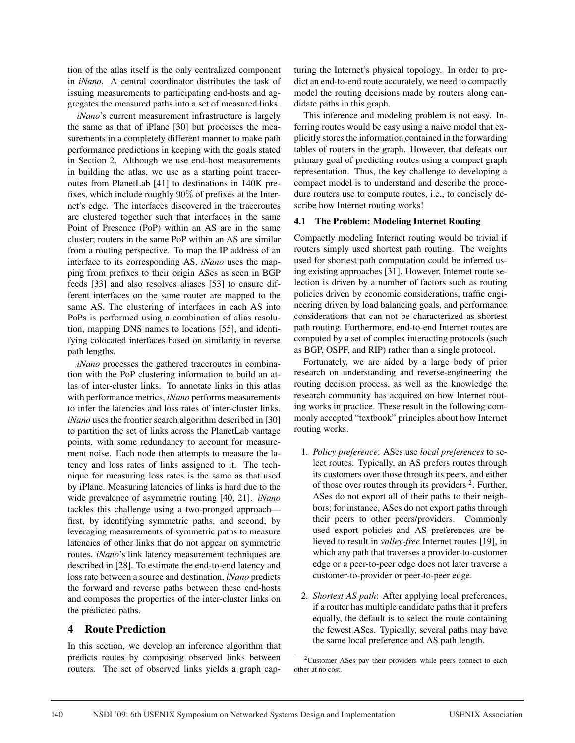tion of the atlas itself is the only centralized component in *iNano*. A central coordinator distributes the task of issuing measurements to participating end-hosts and aggregates the measured paths into a set of measured links.

*iNano*'s current measurement infrastructure is largely the same as that of iPlane [30] but processes the measurements in a completely different manner to make path performance predictions in keeping with the goals stated in Section 2. Although we use end-host measurements in building the atlas, we use as a starting point traceroutes from PlanetLab [41] to destinations in 140K prefixes, which include roughly 90% of prefixes at the Internet's edge. The interfaces discovered in the traceroutes are clustered together such that interfaces in the same Point of Presence (PoP) within an AS are in the same cluster; routers in the same PoP within an AS are similar from a routing perspective. To map the IP address of an interface to its corresponding AS, *iNano* uses the mapping from prefixes to their origin ASes as seen in BGP feeds [33] and also resolves aliases [53] to ensure different interfaces on the same router are mapped to the same AS. The clustering of interfaces in each AS into PoPs is performed using a combination of alias resolution, mapping DNS names to locations [55], and identifying colocated interfaces based on similarity in reverse path lengths.

*iNano* processes the gathered traceroutes in combination with the PoP clustering information to build an atlas of inter-cluster links. To annotate links in this atlas with performance metrics, *iNano* performs measurements to infer the latencies and loss rates of inter-cluster links. *iNano* uses the frontier search algorithm described in [30] to partition the set of links across the PlanetLab vantage points, with some redundancy to account for measurement noise. Each node then attempts to measure the latency and loss rates of links assigned to it. The technique for measuring loss rates is the same as that used by iPlane. Measuring latencies of links is hard due to the wide prevalence of asymmetric routing [40, 21]. *iNano* tackles this challenge using a two-pronged approach first, by identifying symmetric paths, and second, by leveraging measurements of symmetric paths to measure latencies of other links that do not appear on symmetric routes. *iNano*'s link latency measurement techniques are described in [28]. To estimate the end-to-end latency and loss rate between a source and destination, *iNano* predicts the forward and reverse paths between these end-hosts and composes the properties of the inter-cluster links on the predicted paths.

### 4 Route Prediction

In this section, we develop an inference algorithm that predicts routes by composing observed links between routers. The set of observed links yields a graph capturing the Internet's physical topology. In order to predict an end-to-end route accurately, we need to compactly model the routing decisions made by routers along candidate paths in this graph.

This inference and modeling problem is not easy. Inferring routes would be easy using a naive model that explicitly stores the information contained in the forwarding tables of routers in the graph. However, that defeats our primary goal of predicting routes using a compact graph representation. Thus, the key challenge to developing a compact model is to understand and describe the procedure routers use to compute routes, i.e., to concisely describe how Internet routing works!

### 4.1 The Problem: Modeling Internet Routing

Compactly modeling Internet routing would be trivial if routers simply used shortest path routing. The weights used for shortest path computation could be inferred using existing approaches [31]. However, Internet route selection is driven by a number of factors such as routing policies driven by economic considerations, traffic engineering driven by load balancing goals, and performance considerations that can not be characterized as shortest path routing. Furthermore, end-to-end Internet routes are computed by a set of complex interacting protocols (such as BGP, OSPF, and RIP) rather than a single protocol.

Fortunately, we are aided by a large body of prior research on understanding and reverse-engineering the routing decision process, as well as the knowledge the research community has acquired on how Internet routing works in practice. These result in the following commonly accepted "textbook" principles about how Internet routing works.

- 1. *Policy preference*: ASes use *local preferences* to select routes. Typically, an AS prefers routes through its customers over those through its peers, and either of those over routes through its providers 2. Further, ASes do not export all of their paths to their neighbors; for instance, ASes do not export paths through their peers to other peers/providers. Commonly used export policies and AS preferences are believed to result in *valley-free* Internet routes [19], in which any path that traverses a provider-to-customer edge or a peer-to-peer edge does not later traverse a customer-to-provider or peer-to-peer edge.
- 2. *Shortest AS path*: After applying local preferences, if a router has multiple candidate paths that it prefers equally, the default is to select the route containing the fewest ASes. Typically, several paths may have the same local preference and AS path length.

<sup>2</sup>Customer ASes pay their providers while peers connect to each other at no cost.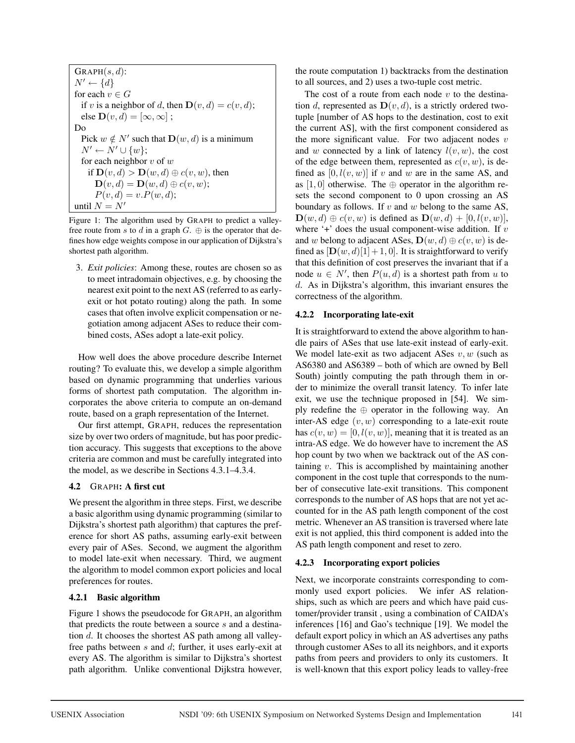$GRAPH(s, d)$ :  $N' \leftarrow \{d\}$ for each  $v \in G$ if v is a neighbor of d, then  $\mathbf{D}(v,d) = c(v,d)$ ; else  $\mathbf{D}(v,d)=[\infty,\infty]$ ; Do Pick  $w \notin N'$  such that  $\mathbf{D}(w, d)$  is a minimum  $N' \leftarrow N' \cup \{w\};$ for each neighbor  $v$  of  $w$ if  $\mathbf{D}(v,d) > \mathbf{D}(w,d) \oplus c(v,w)$ , then  $\mathbf{D}(v,d) = \mathbf{D}(w,d) \oplus c(v,w);$  $P(v, d) = v.P(w, d);$ until  $N = N'$ 

Figure 1: The algorithm used by GRAPH to predict a valleyfree route from s to d in a graph  $G$ .  $\oplus$  is the operator that defines how edge weights compose in our application of Dijkstra's shortest path algorithm.

3. *Exit policies*: Among these, routes are chosen so as to meet intradomain objectives, e.g. by choosing the nearest exit point to the next AS (referred to as earlyexit or hot potato routing) along the path. In some cases that often involve explicit compensation or negotiation among adjacent ASes to reduce their combined costs, ASes adopt a late-exit policy.

How well does the above procedure describe Internet routing? To evaluate this, we develop a simple algorithm based on dynamic programming that underlies various forms of shortest path computation. The algorithm incorporates the above criteria to compute an on-demand route, based on a graph representation of the Internet.

Our first attempt, GRAPH, reduces the representation size by over two orders of magnitude, but has poor prediction accuracy. This suggests that exceptions to the above criteria are common and must be carefully integrated into the model, as we describe in Sections 4.3.1–4.3.4.

### 4.2 GRAPH: A first cut

We present the algorithm in three steps. First, we describe a basic algorithm using dynamic programming (similar to Dijkstra's shortest path algorithm) that captures the preference for short AS paths, assuming early-exit between every pair of ASes. Second, we augment the algorithm to model late-exit when necessary. Third, we augment the algorithm to model common export policies and local preferences for routes.

## 4.2.1 Basic algorithm

Figure 1 shows the pseudocode for GRAPH, an algorithm that predicts the route between a source  $s$  and a destination  $d$ . It chooses the shortest AS path among all valleyfree paths between s and d; further, it uses early-exit at every AS. The algorithm is similar to Dijkstra's shortest path algorithm. Unlike conventional Dijkstra however,

the route computation 1) backtracks from the destination to all sources, and 2) uses a two-tuple cost metric.

The cost of a route from each node  $v$  to the destination d, represented as  $\mathbf{D}(v,d)$ , is a strictly ordered twotuple [number of AS hops to the destination, cost to exit the current AS], with the first component considered as the more significant value. For two adjacent nodes  $v$ and w connected by a link of latency  $l(v, w)$ , the cost of the edge between them, represented as  $c(v, w)$ , is defined as  $[0, l(v, w)]$  if v and w are in the same AS, and as  $[1, 0]$  otherwise. The  $\oplus$  operator in the algorithm resets the second component to 0 upon crossing an AS boundary as follows. If  $v$  and  $w$  belong to the same AS,  $\mathbf{D}(w, d) \oplus c(v, w)$  is defined as  $\mathbf{D}(w, d) + [0, l(v, w)]$ , where  $+$  does the usual component-wise addition. If v and w belong to adjacent ASes,  $\mathbf{D}(w, d) \oplus c(v, w)$  is defined as  $[D(w, d)[1] + 1, 0]$ . It is straightforward to verify that this definition of cost preserves the invariant that if a node  $u \in N'$ , then  $P(u, d)$  is a shortest path from u to d. As in Dijkstra's algorithm, this invariant ensures the correctness of the algorithm.

## 4.2.2 Incorporating late-exit

It is straightforward to extend the above algorithm to handle pairs of ASes that use late-exit instead of early-exit. We model late-exit as two adjacent ASes  $v, w$  (such as AS6380 and AS6389 – both of which are owned by Bell South) jointly computing the path through them in order to minimize the overall transit latency. To infer late exit, we use the technique proposed in [54]. We simply redefine the  $oplus$  operator in the following way. An inter-AS edge  $(v, w)$  corresponding to a late-exit route has  $c(v, w) = [0, l(v, w)]$ , meaning that it is treated as an intra-AS edge. We do however have to increment the AS hop count by two when we backtrack out of the AS containing v. This is accomplished by maintaining another component in the cost tuple that corresponds to the number of consecutive late-exit transitions. This component corresponds to the number of AS hops that are not yet accounted for in the AS path length component of the cost metric. Whenever an AS transition is traversed where late exit is not applied, this third component is added into the AS path length component and reset to zero.

## 4.2.3 Incorporating export policies

Next, we incorporate constraints corresponding to commonly used export policies. We infer AS relationships, such as which are peers and which have paid customer/provider transit , using a combination of CAIDA's inferences [16] and Gao's technique [19]. We model the default export policy in which an AS advertises any paths through customer ASes to all its neighbors, and it exports paths from peers and providers to only its customers. It is well-known that this export policy leads to valley-free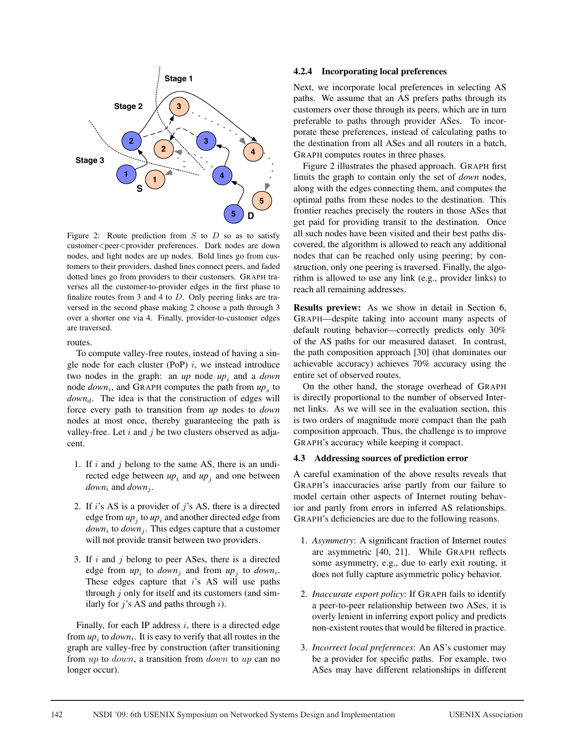

Figure 2: Route prediction from  $S$  to  $D$  so as to satisfy customer<peer<provider preferences. Dark nodes are down nodes, and light nodes are up nodes. Bold lines go from customers to their providers, dashed lines connect peers, and faded dotted lines go from providers to their customers. GRAPH traverses all the customer-to-provider edges in the first phase to finalize routes from 3 and 4 to  $D$ . Only peering links are traversed in the second phase making 2 choose a path through 3 over a shorter one via 4. Finally, provider-to-customer edges are traversed.

routes.

To compute valley-free routes, instead of having a single node for each cluster (PoP)  $i$ , we instead introduce two nodes in the graph: an  $up$  node  $up_i$  and a *down* node  $down_i$ , and GRAPH computes the path from  $up_s$  to *down<sub>d</sub>*. The idea is that the construction of edges will force every path to transition from *up* nodes to *down* nodes at most once, thereby guaranteeing the path is valley-free. Let  $i$  and  $j$  be two clusters observed as adjacent.

- 1. If  $i$  and  $j$  belong to the same AS, there is an undirected edge between  $up_i$  and  $up_j$  and one between  $down_i$  and  $down_i$ .
- 2. If i's AS is a provider of j's AS, there is a directed edge from  $up_i$  to  $up_i$  and another directed edge from  $down_i$  to  $down_i$ . This edges capture that a customer will not provide transit between two providers.
- 3. If i and j belong to peer ASes, there is a directed edge from  $up_i$  to *down<sub>i</sub>* and from  $up_i$  to *down<sub>i</sub>*. These edges capture that  $i$ 's AS will use paths through  $j$  only for itself and its customers (and similarly for  $j$ 's AS and paths through  $i$ ).

Finally, for each IP address  $i$ , there is a directed edge from  $up_i$  to  $down_i$ . It is easy to verify that all routes in the graph are valley-free by construction (after transitioning from up to *down*, a transition from *down* to up can no longer occur).

#### 4.2.4 Incorporating local preferences

Next, we incorporate local preferences in selecting AS paths. We assume that an AS prefers paths through its customers over those through its peers, which are in turn preferable to paths through provider ASes. To incorporate these preferences, instead of calculating paths to the destination from all ASes and all routers in a batch, GRAPH computes routes in three phases.

Figure 2 illustrates the phased approach. GRAPH first limits the graph to contain only the set of *down* nodes, along with the edges connecting them, and computes the optimal paths from these nodes to the destination. This frontier reaches precisely the routers in those ASes that get paid for providing transit to the destination. Once all such nodes have been visited and their best paths discovered, the algorithm is allowed to reach any additional nodes that can be reached only using peering; by construction, only one peering is traversed. Finally, the algorithm is allowed to use any link (e.g., provider links) to reach all remaining addresses.

Results preview: As we show in detail in Section 6, GRAPH—despite taking into account many aspects of default routing behavior—correctly predicts only 30% of the AS paths for our measured dataset. In contrast, the path composition approach [30] (that dominates our achievable accuracy) achieves 70% accuracy using the entire set of observed routes.

On the other hand, the storage overhead of GRAPH is directly proportional to the number of observed Internet links. As we will see in the evaluation section, this is two orders of magnitude more compact than the path composition approach. Thus, the challenge is to improve GRAPH's accuracy while keeping it compact.

#### 4.3 Addressing sources of prediction error

A careful examination of the above results reveals that GRAPH's inaccuracies arise partly from our failure to model certain other aspects of Internet routing behavior and partly from errors in inferred AS relationships. GRAPH's deficiencies are due to the following reasons.

- 1. *Asymmetry*: A significant fraction of Internet routes are asymmetric [40, 21]. While GRAPH reflects some asymmetry, e.g., due to early exit routing, it does not fully capture asymmetric policy behavior.
- 2. *Inaccurate export policy*: If GRAPH fails to identify a peer-to-peer relationship between two ASes, it is overly lenient in inferring export policy and predicts non-existent routes that would be filtered in practice.
- 3. *Incorrect local preferences*: An AS's customer may be a provider for specific paths. For example, two ASes may have different relationships in different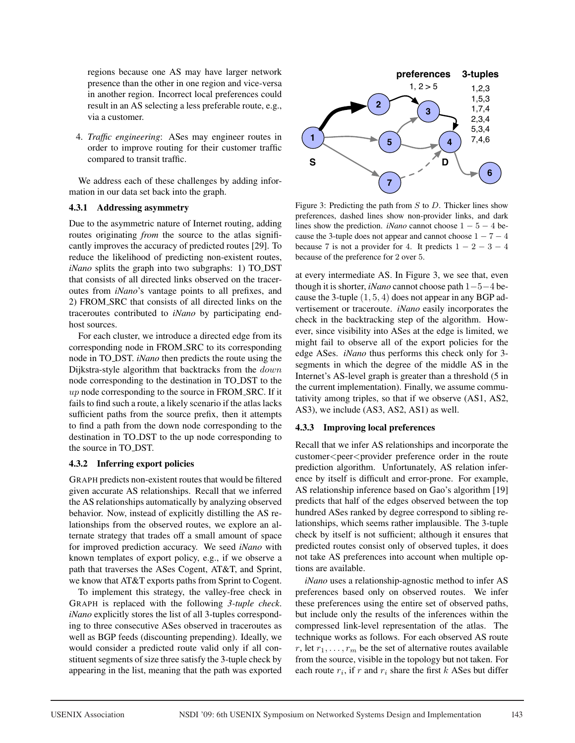regions because one AS may have larger network presence than the other in one region and vice-versa in another region. Incorrect local preferences could result in an AS selecting a less preferable route, e.g., via a customer.

4. *Traffic engineering*: ASes may engineer routes in order to improve routing for their customer traffic compared to transit traffic.

We address each of these challenges by adding information in our data set back into the graph.

### 4.3.1 Addressing asymmetry

Due to the asymmetric nature of Internet routing, adding routes originating *from* the source to the atlas significantly improves the accuracy of predicted routes [29]. To reduce the likelihood of predicting non-existent routes, *iNano* splits the graph into two subgraphs: 1) TO DST that consists of all directed links observed on the traceroutes from *iNano*'s vantage points to all prefixes, and 2) FROM SRC that consists of all directed links on the traceroutes contributed to *iNano* by participating endhost sources.

For each cluster, we introduce a directed edge from its corresponding node in FROM SRC to its corresponding node in TO DST. *iNano* then predicts the route using the Dijkstra-style algorithm that backtracks from the down node corresponding to the destination in TO DST to the  $up$  node corresponding to the source in FROM\_SRC. If it fails to find such a route, a likely scenario if the atlas lacks sufficient paths from the source prefix, then it attempts to find a path from the down node corresponding to the destination in TO DST to the up node corresponding to the source in TO DST.

## 4.3.2 Inferring export policies

GRAPH predicts non-existent routes that would be filtered given accurate AS relationships. Recall that we inferred the AS relationships automatically by analyzing observed behavior. Now, instead of explicitly distilling the AS relationships from the observed routes, we explore an alternate strategy that trades off a small amount of space for improved prediction accuracy. We seed *iNano* with known templates of export policy, e.g., if we observe a path that traverses the ASes Cogent, AT&T, and Sprint, we know that AT&T exports paths from Sprint to Cogent.

To implement this strategy, the valley-free check in GRAPH is replaced with the following *3-tuple check*. *iNano* explicitly stores the list of all 3-tuples corresponding to three consecutive ASes observed in traceroutes as well as BGP feeds (discounting prepending). Ideally, we would consider a predicted route valid only if all constituent segments of size three satisfy the 3-tuple check by appearing in the list, meaning that the path was exported



Figure 3: Predicting the path from  $S$  to  $D$ . Thicker lines show preferences, dashed lines show non-provider links, and dark lines show the prediction. *iNano* cannot choose  $1 - 5 - 4$  because the 3-tuple does not appear and cannot choose  $1 - 7 - 4$ because 7 is not a provider for 4. It predicts  $1 - 2 - 3 - 4$ because of the preference for 2 over 5.

at every intermediate AS. In Figure 3, we see that, even though it is shorter, *iNano* cannot choose path 1−5−4 because the 3-tuple  $(1, 5, 4)$  does not appear in any BGP advertisement or traceroute. *iNano* easily incorporates the check in the backtracking step of the algorithm. However, since visibility into ASes at the edge is limited, we might fail to observe all of the export policies for the edge ASes. *iNano* thus performs this check only for 3 segments in which the degree of the middle AS in the Internet's AS-level graph is greater than a threshold (5 in the current implementation). Finally, we assume commutativity among triples, so that if we observe (AS1, AS2, AS3), we include (AS3, AS2, AS1) as well.

### 4.3.3 Improving local preferences

Recall that we infer AS relationships and incorporate the customer<peer<provider preference order in the route prediction algorithm. Unfortunately, AS relation inference by itself is difficult and error-prone. For example, AS relationship inference based on Gao's algorithm [19] predicts that half of the edges observed between the top hundred ASes ranked by degree correspond to sibling relationships, which seems rather implausible. The 3-tuple check by itself is not sufficient; although it ensures that predicted routes consist only of observed tuples, it does not take AS preferences into account when multiple options are available.

*iNano* uses a relationship-agnostic method to infer AS preferences based only on observed routes. We infer these preferences using the entire set of observed paths, but include only the results of the inferences within the compressed link-level representation of the atlas. The technique works as follows. For each observed AS route r, let  $r_1, \ldots, r_m$  be the set of alternative routes available from the source, visible in the topology but not taken. For each route  $r_i$ , if r and  $r_i$  share the first k ASes but differ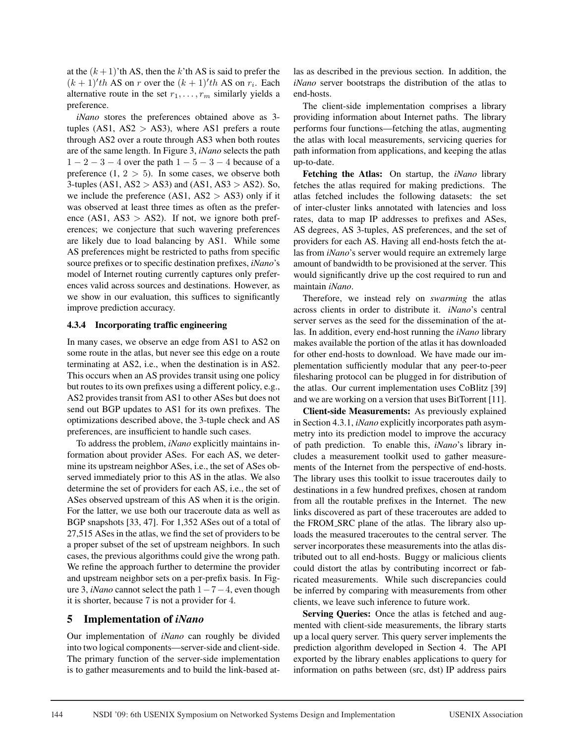at the  $(k+1)$ 'th AS, then the k'th AS is said to prefer the  $(k+1)'$ th AS on r over the  $(k+1)'$ th AS on  $r_i$ . Each alternative route in the set  $r_1, \ldots, r_m$  similarly yields a preference.

*iNano* stores the preferences obtained above as 3 tuples (AS1,  $AS2 > AS3$ ), where AS1 prefers a route through AS2 over a route through AS3 when both routes are of the same length. In Figure 3, *iNano* selects the path  $1 - 2 - 3 - 4$  over the path  $1 - 5 - 3 - 4$  because of a preference  $(1, 2 > 5)$ . In some cases, we observe both 3-tuples  $(AS1, AS2 > AS3)$  and  $(AS1, AS3 > AS2)$ . So, we include the preference  $(AS1, AS2 > AS3)$  only if it was observed at least three times as often as the preference (AS1,  $AS3 > AS2$ ). If not, we ignore both preferences; we conjecture that such wavering preferences are likely due to load balancing by AS1. While some AS preferences might be restricted to paths from specific source prefixes or to specific destination prefixes, *iNano*'s model of Internet routing currently captures only preferences valid across sources and destinations. However, as we show in our evaluation, this suffices to significantly improve prediction accuracy.

### 4.3.4 Incorporating traffic engineering

In many cases, we observe an edge from AS1 to AS2 on some route in the atlas, but never see this edge on a route terminating at AS2, i.e., when the destination is in AS2. This occurs when an AS provides transit using one policy but routes to its own prefixes using a different policy, e.g., AS2 provides transit from AS1 to other ASes but does not send out BGP updates to AS1 for its own prefixes. The optimizations described above, the 3-tuple check and AS preferences, are insufficient to handle such cases.

To address the problem, *iNano* explicitly maintains information about provider ASes. For each AS, we determine its upstream neighbor ASes, i.e., the set of ASes observed immediately prior to this AS in the atlas. We also determine the set of providers for each AS, i.e., the set of ASes observed upstream of this AS when it is the origin. For the latter, we use both our traceroute data as well as BGP snapshots [33, 47]. For 1,352 ASes out of a total of 27,515 ASes in the atlas, we find the set of providers to be a proper subset of the set of upstream neighbors. In such cases, the previous algorithms could give the wrong path. We refine the approach further to determine the provider and upstream neighbor sets on a per-prefix basis. In Figure 3, *iNano* cannot select the path 1−7−4, even though it is shorter, because 7 is not a provider for 4.

## 5 Implementation of *iNano*

Our implementation of *iNano* can roughly be divided into two logical components—server-side and client-side. The primary function of the server-side implementation is to gather measurements and to build the link-based atlas as described in the previous section. In addition, the *iNano* server bootstraps the distribution of the atlas to end-hosts.

The client-side implementation comprises a library providing information about Internet paths. The library performs four functions—fetching the atlas, augmenting the atlas with local measurements, servicing queries for path information from applications, and keeping the atlas up-to-date.

Fetching the Atlas: On startup, the *iNano* library fetches the atlas required for making predictions. The atlas fetched includes the following datasets: the set of inter-cluster links annotated with latencies and loss rates, data to map IP addresses to prefixes and ASes, AS degrees, AS 3-tuples, AS preferences, and the set of providers for each AS. Having all end-hosts fetch the atlas from *iNano*'s server would require an extremely large amount of bandwidth to be provisioned at the server. This would significantly drive up the cost required to run and maintain *iNano*.

Therefore, we instead rely on *swarming* the atlas across clients in order to distribute it. *iNano*'s central server serves as the seed for the dissemination of the atlas. In addition, every end-host running the *iNano* library makes available the portion of the atlas it has downloaded for other end-hosts to download. We have made our implementation sufficiently modular that any peer-to-peer filesharing protocol can be plugged in for distribution of the atlas. Our current implementation uses CoBlitz [39] and we are working on a version that uses BitTorrent [11].

Client-side Measurements: As previously explained in Section 4.3.1, *iNano* explicitly incorporates path asymmetry into its prediction model to improve the accuracy of path prediction. To enable this, *iNano*'s library includes a measurement toolkit used to gather measurements of the Internet from the perspective of end-hosts. The library uses this toolkit to issue traceroutes daily to destinations in a few hundred prefixes, chosen at random from all the routable prefixes in the Internet. The new links discovered as part of these traceroutes are added to the FROM SRC plane of the atlas. The library also uploads the measured traceroutes to the central server. The server incorporates these measurements into the atlas distributed out to all end-hosts. Buggy or malicious clients could distort the atlas by contributing incorrect or fabricated measurements. While such discrepancies could be inferred by comparing with measurements from other clients, we leave such inference to future work.

Serving Queries: Once the atlas is fetched and augmented with client-side measurements, the library starts up a local query server. This query server implements the prediction algorithm developed in Section 4. The API exported by the library enables applications to query for information on paths between (src, dst) IP address pairs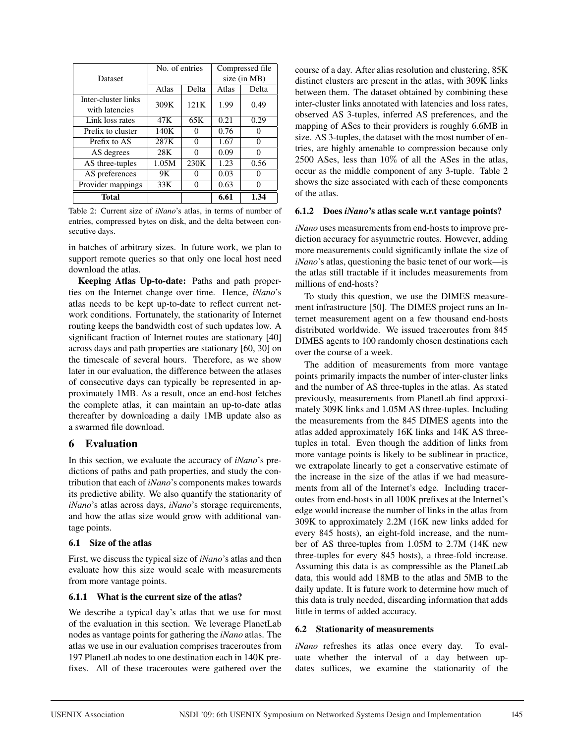|                     | No. of entries |                   | Compressed file |          |  |
|---------------------|----------------|-------------------|-----------------|----------|--|
| Dataset             |                |                   | size (in MB)    |          |  |
|                     | Atlas          | Delta             | Atlas           | Delta    |  |
| Inter-cluster links | 309K           | 121K              | 1.99            | 0.49     |  |
| with latencies      |                |                   |                 |          |  |
| Link loss rates     | 47 K           | 65K               | 0.21            | 0.29     |  |
| Prefix to cluster   | 140K           | $\mathbf{\Omega}$ | 0.76            | 0        |  |
| Prefix to AS        | 287K           | 0                 | 1.67            | 0        |  |
| AS degrees          | 28K            | $\mathbf{\Omega}$ | 0.09            | 0        |  |
| AS three-tuples     | 1.05M          | 230K              | 1.23            | 0.56     |  |
| AS preferences      | 9Κ             | 0                 | 0.03            | $\theta$ |  |
| Provider mappings   | 33K            |                   | 0.63            | 0        |  |
| <b>Total</b>        |                |                   | 6.61            | 1.34     |  |

Table 2: Current size of *iNano*'s atlas, in terms of number of entries, compressed bytes on disk, and the delta between consecutive days.

in batches of arbitrary sizes. In future work, we plan to support remote queries so that only one local host need download the atlas.

Keeping Atlas Up-to-date: Paths and path properties on the Internet change over time. Hence, *iNano*'s atlas needs to be kept up-to-date to reflect current network conditions. Fortunately, the stationarity of Internet routing keeps the bandwidth cost of such updates low. A significant fraction of Internet routes are stationary [40] across days and path properties are stationary [60, 30] on the timescale of several hours. Therefore, as we show later in our evaluation, the difference between the atlases of consecutive days can typically be represented in approximately 1MB. As a result, once an end-host fetches the complete atlas, it can maintain an up-to-date atlas thereafter by downloading a daily 1MB update also as a swarmed file download.

## 6 Evaluation

In this section, we evaluate the accuracy of *iNano*'s predictions of paths and path properties, and study the contribution that each of *iNano*'s components makes towards its predictive ability. We also quantify the stationarity of *iNano*'s atlas across days, *iNano*'s storage requirements, and how the atlas size would grow with additional vantage points.

### 6.1 Size of the atlas

First, we discuss the typical size of *iNano*'s atlas and then evaluate how this size would scale with measurements from more vantage points.

### 6.1.1 What is the current size of the atlas?

We describe a typical day's atlas that we use for most of the evaluation in this section. We leverage PlanetLab nodes as vantage points for gathering the *iNano* atlas. The atlas we use in our evaluation comprises traceroutes from 197 PlanetLab nodes to one destination each in 140K prefixes. All of these traceroutes were gathered over the course of a day. After alias resolution and clustering, 85K distinct clusters are present in the atlas, with 309K links between them. The dataset obtained by combining these inter-cluster links annotated with latencies and loss rates, observed AS 3-tuples, inferred AS preferences, and the mapping of ASes to their providers is roughly 6.6MB in size. AS 3-tuples, the dataset with the most number of entries, are highly amenable to compression because only 2500 ASes, less than 10% of all the ASes in the atlas, occur as the middle component of any 3-tuple. Table 2 shows the size associated with each of these components of the atlas.

## 6.1.2 Does *iNano*'s atlas scale w.r.t vantage points?

*iNano* uses measurements from end-hosts to improve prediction accuracy for asymmetric routes. However, adding more measurements could significantly inflate the size of *iNano*'s atlas, questioning the basic tenet of our work—is the atlas still tractable if it includes measurements from millions of end-hosts?

To study this question, we use the DIMES measurement infrastructure [50]. The DIMES project runs an Internet measurement agent on a few thousand end-hosts distributed worldwide. We issued traceroutes from 845 DIMES agents to 100 randomly chosen destinations each over the course of a week.

The addition of measurements from more vantage points primarily impacts the number of inter-cluster links and the number of AS three-tuples in the atlas. As stated previously, measurements from PlanetLab find approximately 309K links and 1.05M AS three-tuples. Including the measurements from the 845 DIMES agents into the atlas added approximately 16K links and 14K AS threetuples in total. Even though the addition of links from more vantage points is likely to be sublinear in practice, we extrapolate linearly to get a conservative estimate of the increase in the size of the atlas if we had measurements from all of the Internet's edge. Including traceroutes from end-hosts in all 100K prefixes at the Internet's edge would increase the number of links in the atlas from 309K to approximately 2.2M (16K new links added for every 845 hosts), an eight-fold increase, and the number of AS three-tuples from 1.05M to 2.7M (14K new three-tuples for every 845 hosts), a three-fold increase. Assuming this data is as compressible as the PlanetLab data, this would add 18MB to the atlas and 5MB to the daily update. It is future work to determine how much of this data is truly needed, discarding information that adds little in terms of added accuracy.

## 6.2 Stationarity of measurements

*iNano* refreshes its atlas once every day. To evaluate whether the interval of a day between updates suffices, we examine the stationarity of the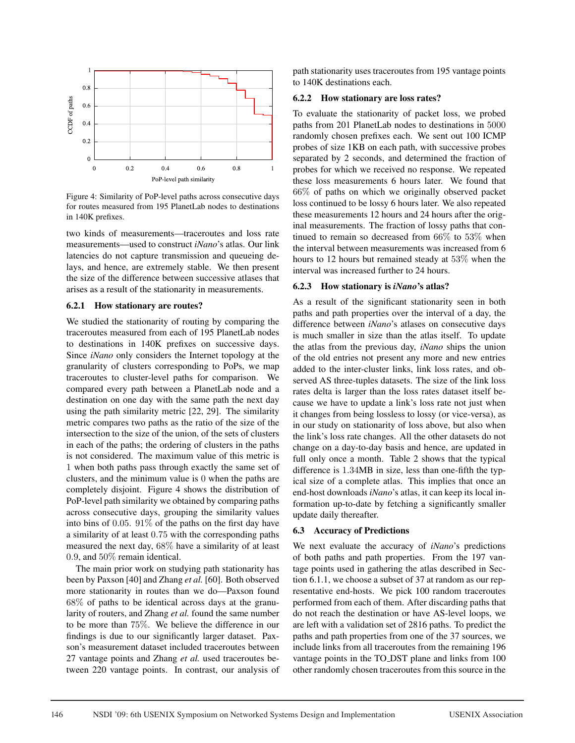

Figure 4: Similarity of PoP-level paths across consecutive days for routes measured from 195 PlanetLab nodes to destinations in 140K prefixes.

two kinds of measurements—traceroutes and loss rate measurements—used to construct *iNano*'s atlas. Our link latencies do not capture transmission and queueing delays, and hence, are extremely stable. We then present the size of the difference between successive atlases that arises as a result of the stationarity in measurements.

#### 6.2.1 How stationary are routes?

We studied the stationarity of routing by comparing the traceroutes measured from each of 195 PlanetLab nodes to destinations in 140K prefixes on successive days. Since *iNano* only considers the Internet topology at the granularity of clusters corresponding to PoPs, we map traceroutes to cluster-level paths for comparison. We compared every path between a PlanetLab node and a destination on one day with the same path the next day using the path similarity metric [22, 29]. The similarity metric compares two paths as the ratio of the size of the intersection to the size of the union, of the sets of clusters in each of the paths; the ordering of clusters in the paths is not considered. The maximum value of this metric is 1 when both paths pass through exactly the same set of clusters, and the minimum value is 0 when the paths are completely disjoint. Figure 4 shows the distribution of PoP-level path similarity we obtained by comparing paths across consecutive days, grouping the similarity values into bins of 0.05. 91% of the paths on the first day have a similarity of at least 0.75 with the corresponding paths measured the next day, 68% have a similarity of at least 0.9, and 50% remain identical.

The main prior work on studying path stationarity has been by Paxson [40] and Zhang *et al.* [60]. Both observed more stationarity in routes than we do—Paxson found 68% of paths to be identical across days at the granularity of routers, and Zhang *et al.* found the same number to be more than 75%. We believe the difference in our findings is due to our significantly larger dataset. Paxson's measurement dataset included traceroutes between 27 vantage points and Zhang *et al.* used traceroutes between 220 vantage points. In contrast, our analysis of path stationarity uses traceroutes from 195 vantage points to 140K destinations each.

#### 6.2.2 How stationary are loss rates?

To evaluate the stationarity of packet loss, we probed paths from 201 PlanetLab nodes to destinations in 5000 randomly chosen prefixes each. We sent out 100 ICMP probes of size 1KB on each path, with successive probes separated by 2 seconds, and determined the fraction of probes for which we received no response. We repeated these loss measurements 6 hours later. We found that 66% of paths on which we originally observed packet loss continued to be lossy 6 hours later. We also repeated these measurements 12 hours and 24 hours after the original measurements. The fraction of lossy paths that continued to remain so decreased from 66% to 53% when the interval between measurements was increased from 6 hours to 12 hours but remained steady at 53% when the interval was increased further to 24 hours.

#### 6.2.3 How stationary is *iNano*'s atlas?

As a result of the significant stationarity seen in both paths and path properties over the interval of a day, the difference between *iNano*'s atlases on consecutive days is much smaller in size than the atlas itself. To update the atlas from the previous day, *iNano* ships the union of the old entries not present any more and new entries added to the inter-cluster links, link loss rates, and observed AS three-tuples datasets. The size of the link loss rates delta is larger than the loss rates dataset itself because we have to update a link's loss rate not just when it changes from being lossless to lossy (or vice-versa), as in our study on stationarity of loss above, but also when the link's loss rate changes. All the other datasets do not change on a day-to-day basis and hence, are updated in full only once a month. Table 2 shows that the typical difference is 1.34MB in size, less than one-fifth the typical size of a complete atlas. This implies that once an end-host downloads *iNano*'s atlas, it can keep its local information up-to-date by fetching a significantly smaller update daily thereafter.

#### 6.3 Accuracy of Predictions

We next evaluate the accuracy of *iNano*'s predictions of both paths and path properties. From the 197 vantage points used in gathering the atlas described in Section 6.1.1, we choose a subset of 37 at random as our representative end-hosts. We pick 100 random traceroutes performed from each of them. After discarding paths that do not reach the destination or have AS-level loops, we are left with a validation set of 2816 paths. To predict the paths and path properties from one of the 37 sources, we include links from all traceroutes from the remaining 196 vantage points in the TO DST plane and links from 100 other randomly chosen traceroutes from this source in the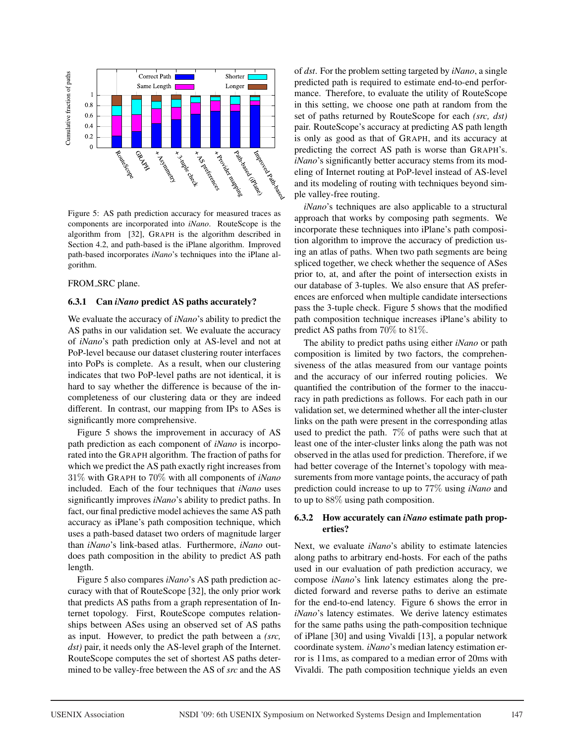

Figure 5: AS path prediction accuracy for measured traces as components are incorporated into *iNano*. RouteScope is the algorithm from [32], GRAPH is the algorithm described in Section 4.2, and path-based is the iPlane algorithm. Improved path-based incorporates *iNano*'s techniques into the iPlane algorithm.

FROM\_SRC plane.

#### 6.3.1 Can *iNano* predict AS paths accurately?

We evaluate the accuracy of *iNano*'s ability to predict the AS paths in our validation set. We evaluate the accuracy of *iNano*'s path prediction only at AS-level and not at PoP-level because our dataset clustering router interfaces into PoPs is complete. As a result, when our clustering indicates that two PoP-level paths are not identical, it is hard to say whether the difference is because of the incompleteness of our clustering data or they are indeed different. In contrast, our mapping from IPs to ASes is significantly more comprehensive.

Figure 5 shows the improvement in accuracy of AS path prediction as each component of *iNano* is incorporated into the GRAPH algorithm. The fraction of paths for which we predict the AS path exactly right increases from 31% with GRAPH to 70% with all components of *iNano* included. Each of the four techniques that *iNano* uses significantly improves *iNano*'s ability to predict paths. In fact, our final predictive model achieves the same AS path accuracy as iPlane's path composition technique, which uses a path-based dataset two orders of magnitude larger than *iNano*'s link-based atlas. Furthermore, *iNano* outdoes path composition in the ability to predict AS path length.

Figure 5 also compares *iNano*'s AS path prediction accuracy with that of RouteScope [32], the only prior work that predicts AS paths from a graph representation of Internet topology. First, RouteScope computes relationships between ASes using an observed set of AS paths as input. However, to predict the path between a *(src, dst)* pair, it needs only the AS-level graph of the Internet. RouteScope computes the set of shortest AS paths determined to be valley-free between the AS of *src* and the AS of *dst*. For the problem setting targeted by *iNano*, a single predicted path is required to estimate end-to-end performance. Therefore, to evaluate the utility of RouteScope in this setting, we choose one path at random from the set of paths returned by RouteScope for each *(src, dst)* pair. RouteScope's accuracy at predicting AS path length is only as good as that of GRAPH, and its accuracy at predicting the correct AS path is worse than GRAPH's. *iNano*'s significantly better accuracy stems from its modeling of Internet routing at PoP-level instead of AS-level and its modeling of routing with techniques beyond simple valley-free routing.

*iNano*'s techniques are also applicable to a structural approach that works by composing path segments. We incorporate these techniques into iPlane's path composition algorithm to improve the accuracy of prediction using an atlas of paths. When two path segments are being spliced together, we check whether the sequence of ASes prior to, at, and after the point of intersection exists in our database of 3-tuples. We also ensure that AS preferences are enforced when multiple candidate intersections pass the 3-tuple check. Figure 5 shows that the modified path composition technique increases iPlane's ability to predict AS paths from 70% to 81%.

The ability to predict paths using either *iNano* or path composition is limited by two factors, the comprehensiveness of the atlas measured from our vantage points and the accuracy of our inferred routing policies. We quantified the contribution of the former to the inaccuracy in path predictions as follows. For each path in our validation set, we determined whether all the inter-cluster links on the path were present in the corresponding atlas used to predict the path. 7% of paths were such that at least one of the inter-cluster links along the path was not observed in the atlas used for prediction. Therefore, if we had better coverage of the Internet's topology with measurements from more vantage points, the accuracy of path prediction could increase to up to 77% using *iNano* and to up to 88% using path composition.

### 6.3.2 How accurately can *iNano* estimate path properties?

Next, we evaluate *iNano*'s ability to estimate latencies along paths to arbitrary end-hosts. For each of the paths used in our evaluation of path prediction accuracy, we compose *iNano*'s link latency estimates along the predicted forward and reverse paths to derive an estimate for the end-to-end latency. Figure 6 shows the error in *iNano*'s latency estimates. We derive latency estimates for the same paths using the path-composition technique of iPlane [30] and using Vivaldi [13], a popular network coordinate system. *iNano*'s median latency estimation error is 11ms, as compared to a median error of 20ms with Vivaldi. The path composition technique yields an even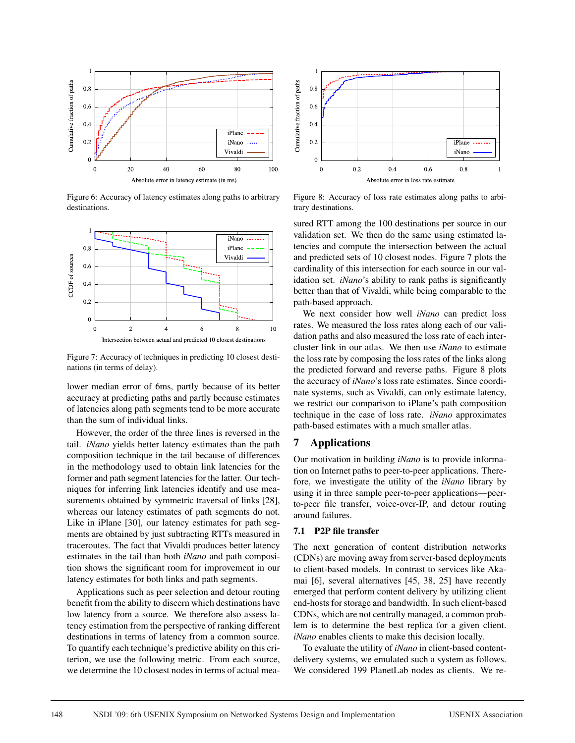

Figure 6: Accuracy of latency estimates along paths to arbitrary destinations.



Figure 7: Accuracy of techniques in predicting 10 closest destinations (in terms of delay).

lower median error of 6ms, partly because of its better accuracy at predicting paths and partly because estimates of latencies along path segments tend to be more accurate than the sum of individual links.

However, the order of the three lines is reversed in the tail. *iNano* yields better latency estimates than the path composition technique in the tail because of differences in the methodology used to obtain link latencies for the former and path segment latencies for the latter. Our techniques for inferring link latencies identify and use measurements obtained by symmetric traversal of links [28], whereas our latency estimates of path segments do not. Like in iPlane [30], our latency estimates for path segments are obtained by just subtracting RTTs measured in traceroutes. The fact that Vivaldi produces better latency estimates in the tail than both *iNano* and path composition shows the significant room for improvement in our latency estimates for both links and path segments.

Applications such as peer selection and detour routing benefit from the ability to discern which destinations have low latency from a source. We therefore also assess latency estimation from the perspective of ranking different destinations in terms of latency from a common source. To quantify each technique's predictive ability on this criterion, we use the following metric. From each source, we determine the 10 closest nodes in terms of actual mea-



Figure 8: Accuracy of loss rate estimates along paths to arbitrary destinations.

sured RTT among the 100 destinations per source in our validation set. We then do the same using estimated latencies and compute the intersection between the actual and predicted sets of 10 closest nodes. Figure 7 plots the cardinality of this intersection for each source in our validation set. *iNano*'s ability to rank paths is significantly better than that of Vivaldi, while being comparable to the path-based approach.

We next consider how well *iNano* can predict loss rates. We measured the loss rates along each of our validation paths and also measured the loss rate of each intercluster link in our atlas. We then use *iNano* to estimate the loss rate by composing the loss rates of the links along the predicted forward and reverse paths. Figure 8 plots the accuracy of *iNano*'s loss rate estimates. Since coordinate systems, such as Vivaldi, can only estimate latency, we restrict our comparison to iPlane's path composition technique in the case of loss rate. *iNano* approximates path-based estimates with a much smaller atlas.

## 7 Applications

Our motivation in building *iNano* is to provide information on Internet paths to peer-to-peer applications. Therefore, we investigate the utility of the *iNano* library by using it in three sample peer-to-peer applications—peerto-peer file transfer, voice-over-IP, and detour routing around failures.

### 7.1 P2P file transfer

The next generation of content distribution networks (CDNs) are moving away from server-based deployments to client-based models. In contrast to services like Akamai [6], several alternatives [45, 38, 25] have recently emerged that perform content delivery by utilizing client end-hosts for storage and bandwidth. In such client-based CDNs, which are not centrally managed, a common problem is to determine the best replica for a given client. *iNano* enables clients to make this decision locally.

To evaluate the utility of *iNano* in client-based contentdelivery systems, we emulated such a system as follows. We considered 199 PlanetLab nodes as clients. We re-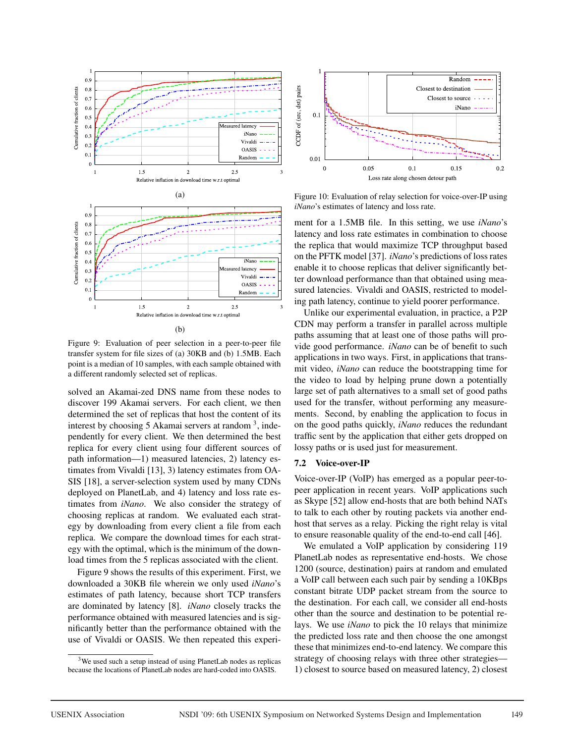

Figure 9: Evaluation of peer selection in a peer-to-peer file transfer system for file sizes of (a) 30KB and (b) 1.5MB. Each point is a median of 10 samples, with each sample obtained with a different randomly selected set of replicas.

solved an Akamai-zed DNS name from these nodes to discover 199 Akamai servers. For each client, we then determined the set of replicas that host the content of its interest by choosing 5 Akamai servers at random  $3$ , independently for every client. We then determined the best replica for every client using four different sources of path information—1) measured latencies, 2) latency estimates from Vivaldi [13], 3) latency estimates from OA-SIS [18], a server-selection system used by many CDNs deployed on PlanetLab, and 4) latency and loss rate estimates from *iNano*. We also consider the strategy of choosing replicas at random. We evaluated each strategy by downloading from every client a file from each replica. We compare the download times for each strategy with the optimal, which is the minimum of the download times from the 5 replicas associated with the client.

Figure 9 shows the results of this experiment. First, we downloaded a 30KB file wherein we only used *iNano*'s estimates of path latency, because short TCP transfers are dominated by latency [8]. *iNano* closely tracks the performance obtained with measured latencies and is significantly better than the performance obtained with the use of Vivaldi or OASIS. We then repeated this experi-



Figure 10: Evaluation of relay selection for voice-over-IP using *iNano*'s estimates of latency and loss rate.

ment for a 1.5MB file. In this setting, we use *iNano*'s latency and loss rate estimates in combination to choose the replica that would maximize TCP throughput based on the PFTK model [37]. *iNano*'s predictions of loss rates enable it to choose replicas that deliver significantly better download performance than that obtained using measured latencies. Vivaldi and OASIS, restricted to modeling path latency, continue to yield poorer performance.

Unlike our experimental evaluation, in practice, a P2P CDN may perform a transfer in parallel across multiple paths assuming that at least one of those paths will provide good performance. *iNano* can be of benefit to such applications in two ways. First, in applications that transmit video, *iNano* can reduce the bootstrapping time for the video to load by helping prune down a potentially large set of path alternatives to a small set of good paths used for the transfer, without performing any measurements. Second, by enabling the application to focus in on the good paths quickly, *iNano* reduces the redundant traffic sent by the application that either gets dropped on lossy paths or is used just for measurement.

#### 7.2 Voice-over-IP

Voice-over-IP (VoIP) has emerged as a popular peer-topeer application in recent years. VoIP applications such as Skype [52] allow end-hosts that are both behind NATs to talk to each other by routing packets via another endhost that serves as a relay. Picking the right relay is vital to ensure reasonable quality of the end-to-end call [46].

We emulated a VoIP application by considering 119 PlanetLab nodes as representative end-hosts. We chose 1200 (source, destination) pairs at random and emulated a VoIP call between each such pair by sending a 10KBps constant bitrate UDP packet stream from the source to the destination. For each call, we consider all end-hosts other than the source and destination to be potential relays. We use *iNano* to pick the 10 relays that minimize the predicted loss rate and then choose the one amongst these that minimizes end-to-end latency. We compare this strategy of choosing relays with three other strategies— 1) closest to source based on measured latency, 2) closest

<sup>&</sup>lt;sup>3</sup>We used such a setup instead of using PlanetLab nodes as replicas because the locations of PlanetLab nodes are hard-coded into OASIS.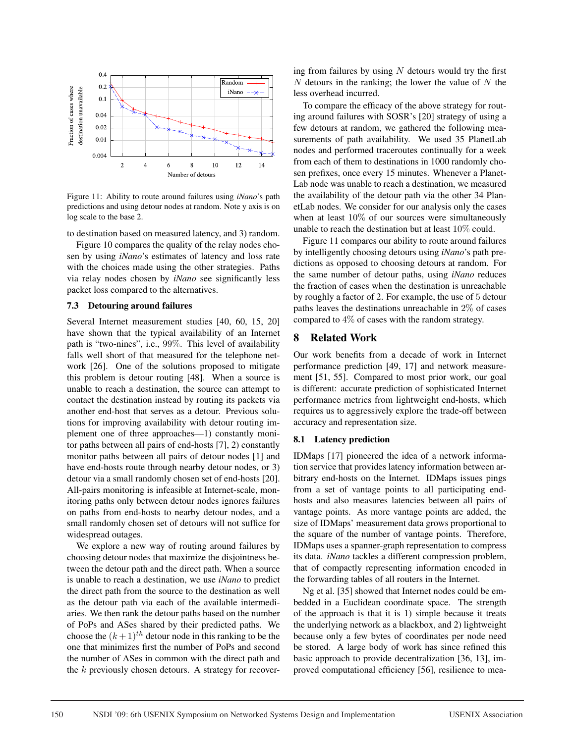

Figure 11: Ability to route around failures using *iNano*'s path predictions and using detour nodes at random. Note y axis is on log scale to the base 2.

to destination based on measured latency, and 3) random.

Figure 10 compares the quality of the relay nodes chosen by using *iNano*'s estimates of latency and loss rate with the choices made using the other strategies. Paths via relay nodes chosen by *iNano* see significantly less packet loss compared to the alternatives.

#### 7.3 Detouring around failures

Several Internet measurement studies [40, 60, 15, 20] have shown that the typical availability of an Internet path is "two-nines", i.e., 99%. This level of availability falls well short of that measured for the telephone network [26]. One of the solutions proposed to mitigate this problem is detour routing [48]. When a source is unable to reach a destination, the source can attempt to contact the destination instead by routing its packets via another end-host that serves as a detour. Previous solutions for improving availability with detour routing implement one of three approaches—1) constantly monitor paths between all pairs of end-hosts [7], 2) constantly monitor paths between all pairs of detour nodes [1] and have end-hosts route through nearby detour nodes, or 3) detour via a small randomly chosen set of end-hosts [20]. All-pairs monitoring is infeasible at Internet-scale, monitoring paths only between detour nodes ignores failures on paths from end-hosts to nearby detour nodes, and a small randomly chosen set of detours will not suffice for widespread outages.

We explore a new way of routing around failures by choosing detour nodes that maximize the disjointness between the detour path and the direct path. When a source is unable to reach a destination, we use *iNano* to predict the direct path from the source to the destination as well as the detour path via each of the available intermediaries. We then rank the detour paths based on the number of PoPs and ASes shared by their predicted paths. We choose the  $(k+1)$ <sup>th</sup> detour node in this ranking to be the one that minimizes first the number of PoPs and second the number of ASes in common with the direct path and the  $k$  previously chosen detours. A strategy for recovering from failures by using  $N$  detours would try the first  $N$  detours in the ranking; the lower the value of  $N$  the less overhead incurred.

To compare the efficacy of the above strategy for routing around failures with SOSR's [20] strategy of using a few detours at random, we gathered the following measurements of path availability. We used 35 PlanetLab nodes and performed traceroutes continually for a week from each of them to destinations in 1000 randomly chosen prefixes, once every 15 minutes. Whenever a Planet-Lab node was unable to reach a destination, we measured the availability of the detour path via the other 34 PlanetLab nodes. We consider for our analysis only the cases when at least 10% of our sources were simultaneously unable to reach the destination but at least 10% could.

Figure 11 compares our ability to route around failures by intelligently choosing detours using *iNano*'s path predictions as opposed to choosing detours at random. For the same number of detour paths, using *iNano* reduces the fraction of cases when the destination is unreachable by roughly a factor of 2. For example, the use of 5 detour paths leaves the destinations unreachable in 2% of cases compared to 4% of cases with the random strategy.

### 8 Related Work

Our work benefits from a decade of work in Internet performance prediction [49, 17] and network measurement [51, 55]. Compared to most prior work, our goal is different: accurate prediction of sophisticated Internet performance metrics from lightweight end-hosts, which requires us to aggressively explore the trade-off between accuracy and representation size.

#### 8.1 Latency prediction

IDMaps [17] pioneered the idea of a network information service that provides latency information between arbitrary end-hosts on the Internet. IDMaps issues pings from a set of vantage points to all participating endhosts and also measures latencies between all pairs of vantage points. As more vantage points are added, the size of IDMaps' measurement data grows proportional to the square of the number of vantage points. Therefore, IDMaps uses a spanner-graph representation to compress its data. *iNano* tackles a different compression problem, that of compactly representing information encoded in the forwarding tables of all routers in the Internet.

Ng et al. [35] showed that Internet nodes could be embedded in a Euclidean coordinate space. The strength of the approach is that it is 1) simple because it treats the underlying network as a blackbox, and 2) lightweight because only a few bytes of coordinates per node need be stored. A large body of work has since refined this basic approach to provide decentralization [36, 13], improved computational efficiency [56], resilience to mea-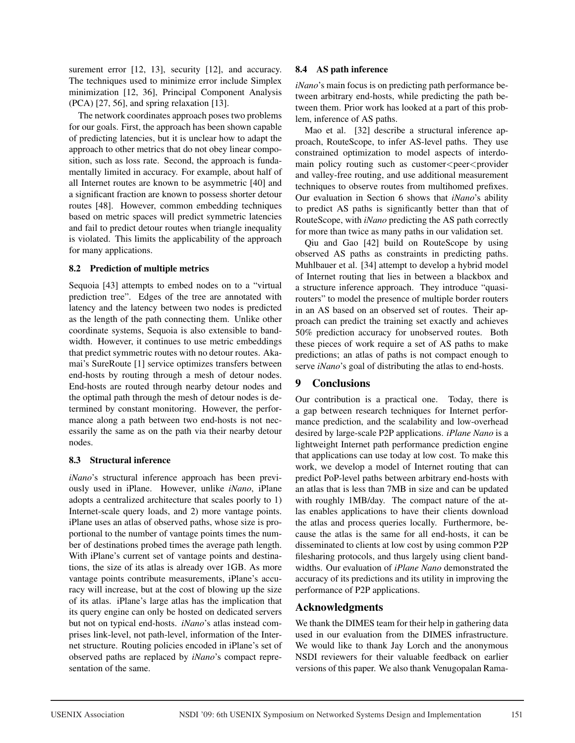surement error [12, 13], security [12], and accuracy. The techniques used to minimize error include Simplex minimization [12, 36], Principal Component Analysis (PCA) [27, 56], and spring relaxation [13].

The network coordinates approach poses two problems for our goals. First, the approach has been shown capable of predicting latencies, but it is unclear how to adapt the approach to other metrics that do not obey linear composition, such as loss rate. Second, the approach is fundamentally limited in accuracy. For example, about half of all Internet routes are known to be asymmetric [40] and a significant fraction are known to possess shorter detour routes [48]. However, common embedding techniques based on metric spaces will predict symmetric latencies and fail to predict detour routes when triangle inequality is violated. This limits the applicability of the approach for many applications.

## 8.2 Prediction of multiple metrics

Sequoia [43] attempts to embed nodes on to a "virtual prediction tree". Edges of the tree are annotated with latency and the latency between two nodes is predicted as the length of the path connecting them. Unlike other coordinate systems, Sequoia is also extensible to bandwidth. However, it continues to use metric embeddings that predict symmetric routes with no detour routes. Akamai's SureRoute [1] service optimizes transfers between end-hosts by routing through a mesh of detour nodes. End-hosts are routed through nearby detour nodes and the optimal path through the mesh of detour nodes is determined by constant monitoring. However, the performance along a path between two end-hosts is not necessarily the same as on the path via their nearby detour nodes.

### 8.3 Structural inference

*iNano*'s structural inference approach has been previously used in iPlane. However, unlike *iNano*, iPlane adopts a centralized architecture that scales poorly to 1) Internet-scale query loads, and 2) more vantage points. iPlane uses an atlas of observed paths, whose size is proportional to the number of vantage points times the number of destinations probed times the average path length. With iPlane's current set of vantage points and destinations, the size of its atlas is already over 1GB. As more vantage points contribute measurements, iPlane's accuracy will increase, but at the cost of blowing up the size of its atlas. iPlane's large atlas has the implication that its query engine can only be hosted on dedicated servers but not on typical end-hosts. *iNano*'s atlas instead comprises link-level, not path-level, information of the Internet structure. Routing policies encoded in iPlane's set of observed paths are replaced by *iNano*'s compact representation of the same.

## 8.4 AS path inference

*iNano*'s main focus is on predicting path performance between arbitrary end-hosts, while predicting the path between them. Prior work has looked at a part of this problem, inference of AS paths.

Mao et al. [32] describe a structural inference approach, RouteScope, to infer AS-level paths. They use constrained optimization to model aspects of interdomain policy routing such as customer<peer<provider and valley-free routing, and use additional measurement techniques to observe routes from multihomed prefixes. Our evaluation in Section 6 shows that *iNano*'s ability to predict AS paths is significantly better than that of RouteScope, with *iNano* predicting the AS path correctly for more than twice as many paths in our validation set.

Qiu and Gao [42] build on RouteScope by using observed AS paths as constraints in predicting paths. Muhlbauer et al. [34] attempt to develop a hybrid model of Internet routing that lies in between a blackbox and a structure inference approach. They introduce "quasirouters" to model the presence of multiple border routers in an AS based on an observed set of routes. Their approach can predict the training set exactly and achieves 50% prediction accuracy for unobserved routes. Both these pieces of work require a set of AS paths to make predictions; an atlas of paths is not compact enough to serve *iNano*'s goal of distributing the atlas to end-hosts.

# 9 Conclusions

Our contribution is a practical one. Today, there is a gap between research techniques for Internet performance prediction, and the scalability and low-overhead desired by large-scale P2P applications. *iPlane Nano* is a lightweight Internet path performance prediction engine that applications can use today at low cost. To make this work, we develop a model of Internet routing that can predict PoP-level paths between arbitrary end-hosts with an atlas that is less than 7MB in size and can be updated with roughly 1MB/day. The compact nature of the atlas enables applications to have their clients download the atlas and process queries locally. Furthermore, because the atlas is the same for all end-hosts, it can be disseminated to clients at low cost by using common P2P filesharing protocols, and thus largely using client bandwidths. Our evaluation of *iPlane Nano* demonstrated the accuracy of its predictions and its utility in improving the performance of P2P applications.

# Acknowledgments

We thank the DIMES team for their help in gathering data used in our evaluation from the DIMES infrastructure. We would like to thank Jay Lorch and the anonymous NSDI reviewers for their valuable feedback on earlier versions of this paper. We also thank Venugopalan Rama